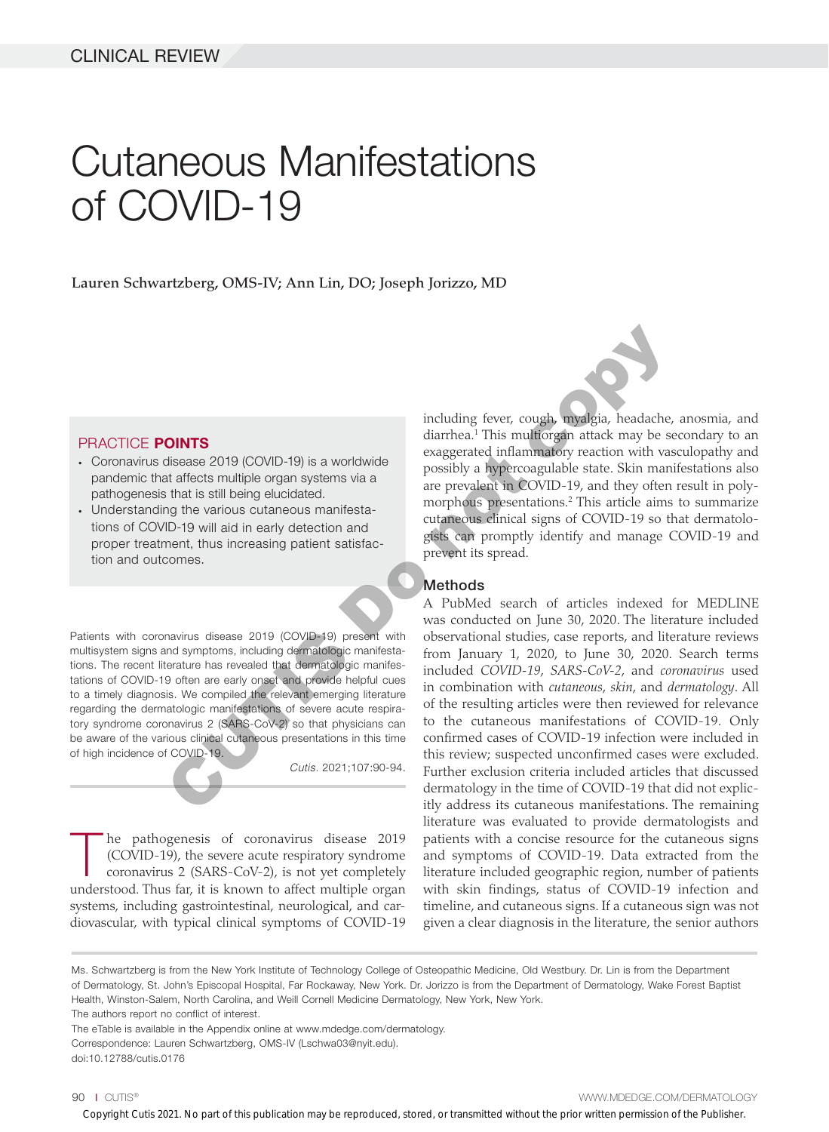# Cutaneous Manifestations of COVID-19

Lauren Schwartzberg, OMS-IV; Ann Lin, DO; Joseph Jorizzo, MD

# PRACTICE POINTS

- Coronavirus disease 2019 (COVID-19) is a worldwide pandemic that affects multiple organ systems via a pathogenesis that is still being elucidated.
- Understanding the various cutaneous manifestations of COVID-19 will aid in early detection and proper treatment, thus increasing patient satisfaction and outcomes.

Patients with coronavirus disease 2019 (COVID-19) present with multisystem signs and symptoms, including dermatologic manifestations. The recent literature has revealed that dermatologic manifestations of COVID-19 often are early onset and provide helpful cues to a timely diagnosis. We compiled the relevant emerging literature regarding the dermatologic manifestations of severe acute respiratory syndrome coronavirus 2 (SARS-CoV-2) so that physicians can be aware of the various clinical cutaneous presentations in this time of high incidence of COVID-19.

*Cutis.* 2021;107:90-94.

The pathogenesis of coronavirus disease 2019<br>
(COVID-19), the severe acute respiratory syndrome<br>
coronavirus 2 (SARS-CoV-2), is not yet completely<br>
understand Thus it is longer (COVID-19), the severe acute respiratory syndrome understood. Thus far, it is known to affect multiple organ systems, including gastrointestinal, neurological, and cardiovascular, with typical clinical symptoms of COVID-19

including fever, cough, myalgia, headache, anosmia, and diarrhea.1 This multiorgan attack may be secondary to an exaggerated inflammatory reaction with vasculopathy and possibly a hypercoagulable state. Skin manifestations also are prevalent in COVID-19, and they often result in polymorphous presentations.<sup>2</sup> This article aims to summarize cutaneous clinical signs of COVID-19 so that dermatologists can promptly identify and manage COVID-19 and prevent its spread.

### Methods

A PubMed search of articles indexed for MEDLINE was conducted on June 30, 2020. The literature included observational studies, case reports, and literature reviews from January 1, 2020, to June 30, 2020. Search terms included *COVID-19*, *SARS-CoV-2*, and *coronavirus* used in combination with *cutaneous*, *skin*, and *dermatology*. All of the resulting articles were then reviewed for relevance to the cutaneous manifestations of COVID-19. Only confirmed cases of COVID-19 infection were included in this review; suspected unconfirmed cases were excluded. Further exclusion criteria included articles that discussed dermatology in the time of COVID-19 that did not explicitly address its cutaneous manifestations. The remaining literature was evaluated to provide dermatologists and patients with a concise resource for the cutaneous signs and symptoms of COVID-19. Data extracted from the literature included geographic region, number of patients with skin findings, status of COVID-19 infection and timeline, and cutaneous signs. If a cutaneous sign was not given a clear diagnosis in the literature, the senior authors **CONTS**<br>
including fever, cough, myalgia, headache,<br>
diarrica.<sup>1</sup> Fits multiorgan attack may be staggerated inflammatory reaction with vas<br>
that a fields multiple organ systems wa a<br>
that is dillectived control of the sma

Ms. Schwartzberg is from the New York Institute of Technology College of Osteopathic Medicine, Old Westbury. Dr. Lin is from the Department of Dermatology, St. John's Episcopal Hospital, Far Rockaway, New York. Dr. Jorizzo is from the Department of Dermatology, Wake Forest Baptist Health, Winston-Salem, North Carolina, and Weill Cornell Medicine Dermatology, New York, New York.

Correspondence: Lauren Schwartzberg, OMS-IV (Lschwa03@nyit.edu). doi:10.12788/cutis.0176

90 I CUTIS® WWW.MDEDGE.COM/DERMATOLOGY

The authors report no conflict of interest.

The eTable is available in the Appendix online at www.mdedge.com/dermatology.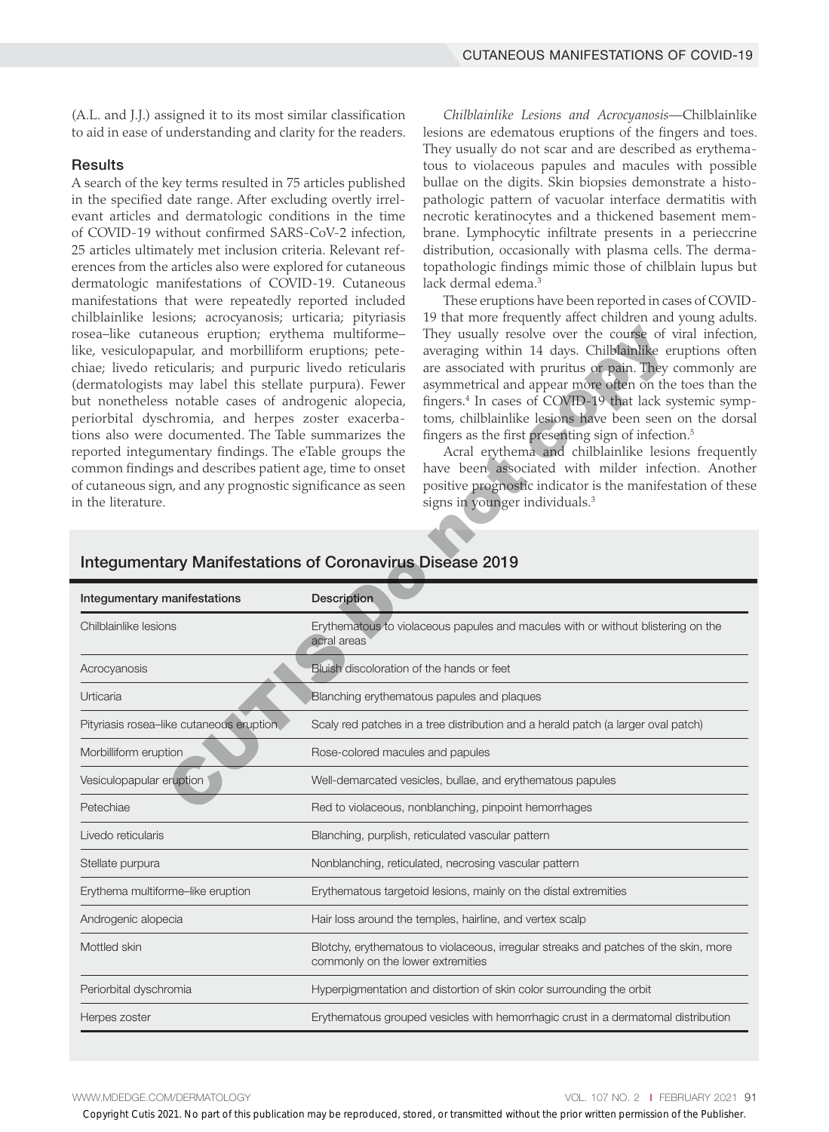(A.L. and J.J.) assigned it to its most similar classification to aid in ease of understanding and clarity for the readers.

#### **Results**

A search of the key terms resulted in 75 articles published in the specified date range. After excluding overtly irrelevant articles and dermatologic conditions in the time of COVID-19 without confirmed SARS-CoV-2 infection, 25 articles ultimately met inclusion criteria. Relevant references from the articles also were explored for cutaneous dermatologic manifestations of COVID-19. Cutaneous manifestations that were repeatedly reported included chilblainlike lesions; acrocyanosis; urticaria; pityriasis rosea–like cutaneous eruption; erythema multiforme– like, vesiculopapular, and morbilliform eruptions; petechiae; livedo reticularis; and purpuric livedo reticularis (dermatologists may label this stellate purpura). Fewer but nonetheless notable cases of androgenic alopecia, periorbital dyschromia, and herpes zoster exacerbations also were documented. The Table summarizes the reported integumentary findings. The eTable groups the common findings and describes patient age, time to onset of cutaneous sign, and any prognostic significance as seen in the literature.

*Chilblainlike Lesions and Acrocyanosis*—Chilblainlike lesions are edematous eruptions of the fingers and toes. They usually do not scar and are described as erythematous to violaceous papules and macules with possible bullae on the digits. Skin biopsies demonstrate a histopathologic pattern of vacuolar interface dermatitis with necrotic keratinocytes and a thickened basement membrane. Lymphocytic infiltrate presents in a perieccrine distribution, occasionally with plasma cells. The dermatopathologic findings mimic those of chilblain lupus but lack dermal edema.<sup>3</sup>

These eruptions have been reported in cases of COVID-19 that more frequently affect children and young adults. They usually resolve over the course of viral infection, averaging within 14 days. Chilblainlike eruptions often are associated with pruritus or pain. They commonly are asymmetrical and appear more often on the toes than the fingers.4 In cases of COVID-19 that lack systemic symptoms, chilblainlike lesions have been seen on the dorsal fingers as the first presenting sign of infection.5

| osea-like cutaneous eruption; erythema multiforme-<br>ike, vesiculopapular, and morbilliform eruptions; pete-<br>chiae; livedo reticularis; and purpuric livedo reticularis<br>dermatologists may label this stellate purpura). Fewer<br>but nonetheless notable cases of androgenic alopecia,<br>beriorbital dyschromia, and herpes zoster exacerba-<br>ions also were documented. The Table summarizes the<br>eported integumentary findings. The eTable groups the<br>common findings and describes patient age, time to onset<br>of cutaneous sign, and any prognostic significance as seen<br>n the literature. |                                                                                                                           | They usually resolve over the course of viral infection<br>averaging within 14 days. Chilblainlike eruptions ofter<br>are associated with pruritus or pain. They commonly are<br>asymmetrical and appear more often on the toes than the<br>fingers. <sup>4</sup> In cases of COVID-19 that lack systemic symp<br>toms, chilblainlike lesions have been seen on the dorsa<br>fingers as the first presenting sign of infection. <sup>5</sup><br>Acral erythema and chilblainlike lesions frequently<br>have been associated with milder infection. Anothe<br>positive prognostic indicator is the manifestation of these<br>signs in younger individuals. <sup>3</sup> |  |
|----------------------------------------------------------------------------------------------------------------------------------------------------------------------------------------------------------------------------------------------------------------------------------------------------------------------------------------------------------------------------------------------------------------------------------------------------------------------------------------------------------------------------------------------------------------------------------------------------------------------|---------------------------------------------------------------------------------------------------------------------------|------------------------------------------------------------------------------------------------------------------------------------------------------------------------------------------------------------------------------------------------------------------------------------------------------------------------------------------------------------------------------------------------------------------------------------------------------------------------------------------------------------------------------------------------------------------------------------------------------------------------------------------------------------------------|--|
| <b>Integumentary Manifestations of Coronavirus Disease 2019</b><br>Integumentary manifestations                                                                                                                                                                                                                                                                                                                                                                                                                                                                                                                      | Description                                                                                                               |                                                                                                                                                                                                                                                                                                                                                                                                                                                                                                                                                                                                                                                                        |  |
| Chilblainlike lesions                                                                                                                                                                                                                                                                                                                                                                                                                                                                                                                                                                                                | Erythematous to violaceous papules and macules with or without blistering on the<br>acral areas                           |                                                                                                                                                                                                                                                                                                                                                                                                                                                                                                                                                                                                                                                                        |  |
| Acrocyanosis                                                                                                                                                                                                                                                                                                                                                                                                                                                                                                                                                                                                         | Bluish discoloration of the hands or feet                                                                                 |                                                                                                                                                                                                                                                                                                                                                                                                                                                                                                                                                                                                                                                                        |  |
| Urticaria                                                                                                                                                                                                                                                                                                                                                                                                                                                                                                                                                                                                            | Blanching erythematous papules and plaques                                                                                |                                                                                                                                                                                                                                                                                                                                                                                                                                                                                                                                                                                                                                                                        |  |
| Pityriasis rosea-like cutaneous eruption                                                                                                                                                                                                                                                                                                                                                                                                                                                                                                                                                                             | Scaly red patches in a tree distribution and a herald patch (a larger oval patch)                                         |                                                                                                                                                                                                                                                                                                                                                                                                                                                                                                                                                                                                                                                                        |  |
| Morbilliform eruption                                                                                                                                                                                                                                                                                                                                                                                                                                                                                                                                                                                                | Rose-colored macules and papules                                                                                          |                                                                                                                                                                                                                                                                                                                                                                                                                                                                                                                                                                                                                                                                        |  |
| Vesiculopapular eruption                                                                                                                                                                                                                                                                                                                                                                                                                                                                                                                                                                                             | Well-demarcated vesicles, bullae, and erythematous papules                                                                |                                                                                                                                                                                                                                                                                                                                                                                                                                                                                                                                                                                                                                                                        |  |
| Petechiae                                                                                                                                                                                                                                                                                                                                                                                                                                                                                                                                                                                                            | Red to violaceous, nonblanching, pinpoint hemorrhages                                                                     |                                                                                                                                                                                                                                                                                                                                                                                                                                                                                                                                                                                                                                                                        |  |
| Livedo reticularis                                                                                                                                                                                                                                                                                                                                                                                                                                                                                                                                                                                                   | Blanching, purplish, reticulated vascular pattern                                                                         |                                                                                                                                                                                                                                                                                                                                                                                                                                                                                                                                                                                                                                                                        |  |
| Stellate purpura                                                                                                                                                                                                                                                                                                                                                                                                                                                                                                                                                                                                     | Nonblanching, reticulated, necrosing vascular pattern                                                                     |                                                                                                                                                                                                                                                                                                                                                                                                                                                                                                                                                                                                                                                                        |  |
| Erythema multiforme-like eruption                                                                                                                                                                                                                                                                                                                                                                                                                                                                                                                                                                                    |                                                                                                                           | Erythematous targetoid lesions, mainly on the distal extremities                                                                                                                                                                                                                                                                                                                                                                                                                                                                                                                                                                                                       |  |
| Androgenic alopecia                                                                                                                                                                                                                                                                                                                                                                                                                                                                                                                                                                                                  | Hair loss around the temples, hairline, and vertex scalp                                                                  |                                                                                                                                                                                                                                                                                                                                                                                                                                                                                                                                                                                                                                                                        |  |
| Mottled skin                                                                                                                                                                                                                                                                                                                                                                                                                                                                                                                                                                                                         | Blotchy, erythematous to violaceous, irregular streaks and patches of the skin, more<br>commonly on the lower extremities |                                                                                                                                                                                                                                                                                                                                                                                                                                                                                                                                                                                                                                                                        |  |
| Periorbital dyschromia                                                                                                                                                                                                                                                                                                                                                                                                                                                                                                                                                                                               |                                                                                                                           | Hyperpigmentation and distortion of skin color surrounding the orbit                                                                                                                                                                                                                                                                                                                                                                                                                                                                                                                                                                                                   |  |
| Herpes zoster                                                                                                                                                                                                                                                                                                                                                                                                                                                                                                                                                                                                        | Erythematous grouped vesicles with hemorrhagic crust in a dermatomal distribution                                         |                                                                                                                                                                                                                                                                                                                                                                                                                                                                                                                                                                                                                                                                        |  |
|                                                                                                                                                                                                                                                                                                                                                                                                                                                                                                                                                                                                                      |                                                                                                                           |                                                                                                                                                                                                                                                                                                                                                                                                                                                                                                                                                                                                                                                                        |  |

## Integumentary Manifestations of Coronavirus Disease 2019

WWW.MDEDGE.COM/DERMATOLOGY **VOL. 107 NO. 2 | FEBRUARY 2021 91** 

Copyright Cutis 2021. No part of this publication may be reproduced, stored, or transmitted without the prior written permission of the Publisher.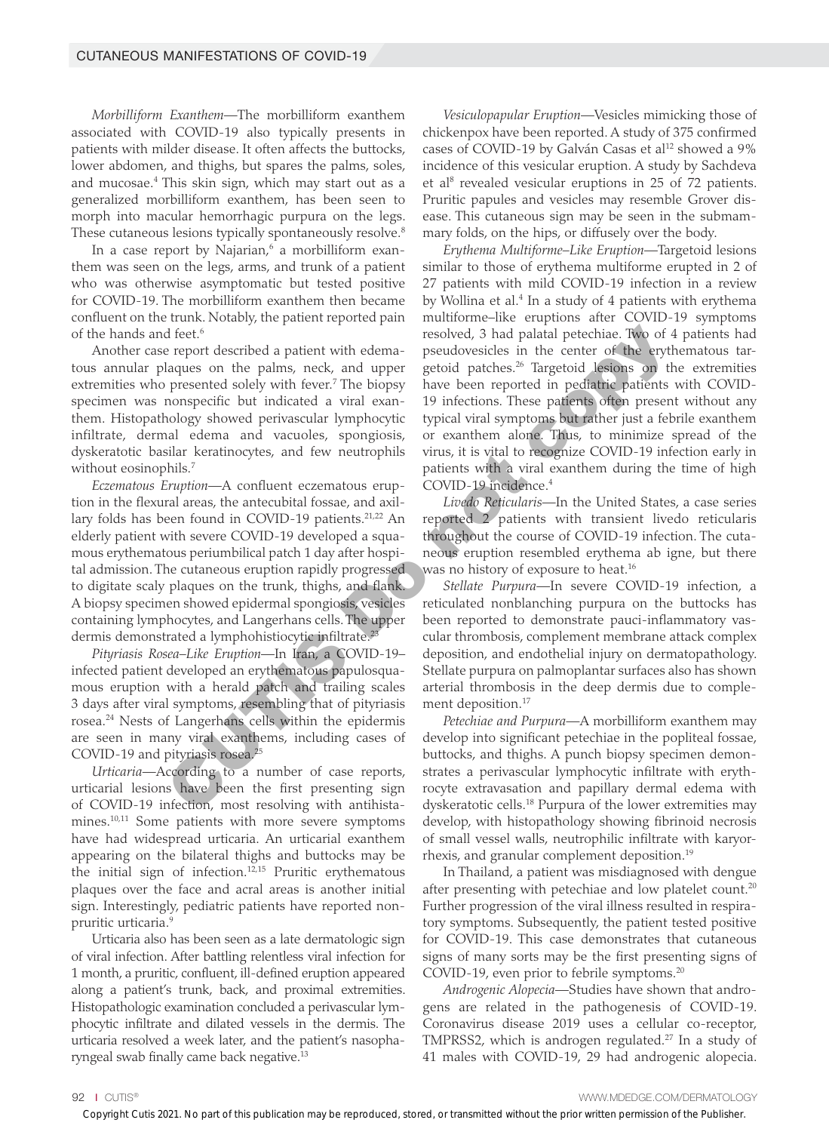*Morbilliform Exanthem*—The morbilliform exanthem associated with COVID-19 also typically presents in patients with milder disease. It often affects the buttocks, lower abdomen, and thighs, but spares the palms, soles, and mucosae.4 This skin sign, which may start out as a generalized morbilliform exanthem, has been seen to morph into macular hemorrhagic purpura on the legs. These cutaneous lesions typically spontaneously resolve.<sup>8</sup>

In a case report by Najarian,<sup>6</sup> a morbilliform exanthem was seen on the legs, arms, and trunk of a patient who was otherwise asymptomatic but tested positive for COVID-19. The morbilliform exanthem then became confluent on the trunk. Notably, the patient reported pain of the hands and feet.<sup>6</sup>

Another case report described a patient with edematous annular plaques on the palms, neck, and upper extremities who presented solely with fever.<sup>7</sup> The biopsy specimen was nonspecific but indicated a viral exanthem. Histopathology showed perivascular lymphocytic infiltrate, dermal edema and vacuoles, spongiosis, dyskeratotic basilar keratinocytes, and few neutrophils without eosinophils.<sup>7</sup>

*Eczematous Eruption*—A confluent eczematous eruption in the flexural areas, the antecubital fossae, and axillary folds has been found in COVID-19 patients.<sup>21,22</sup> An elderly patient with severe COVID-19 developed a squamous erythematous periumbilical patch 1 day after hospital admission. The cutaneous eruption rapidly progressed to digitate scaly plaques on the trunk, thighs, and flank. A biopsy specimen showed epidermal spongiosis, vesicles containing lymphocytes, and Langerhans cells. The upper dermis demonstrated a lymphohistiocytic infiltrate.23

*Pityriasis Rosea–Like Eruption*—In Iran, a COVID-19– infected patient developed an erythematous papulosquamous eruption with a herald patch and trailing scales 3 days after viral symptoms, resembling that of pityriasis rosea.24 Nests of Langerhans cells within the epidermis are seen in many viral exanthems, including cases of COVID-19 and pityriasis rosea.<sup>25</sup>

*Urticaria*—According to a number of case reports, urticarial lesions have been the first presenting sign of COVID-19 infection, most resolving with antihistamines.<sup>10,11</sup> Some patients with more severe symptoms have had widespread urticaria. An urticarial exanthem appearing on the bilateral thighs and buttocks may be the initial sign of infection.<sup>12,15</sup> Pruritic erythematous plaques over the face and acral areas is another initial sign. Interestingly, pediatric patients have reported nonpruritic urticaria.9

Urticaria also has been seen as a late dermatologic sign of viral infection. After battling relentless viral infection for 1 month, a pruritic, confluent, ill-defined eruption appeared along a patient's trunk, back, and proximal extremities. Histopathologic examination concluded a perivascular lymphocytic infiltrate and dilated vessels in the dermis. The urticaria resolved a week later, and the patient's nasopharyngeal swab finally came back negative.<sup>13</sup>

*Vesiculopapular Eruption*—Vesicles mimicking those of chickenpox have been reported. A study of 375 confirmed cases of COVID-19 by Galván Casas et al<sup>12</sup> showed a 9% incidence of this vesicular eruption. A study by Sachdeva et al<sup>8</sup> revealed vesicular eruptions in 25 of 72 patients. Pruritic papules and vesicles may resemble Grover disease. This cutaneous sign may be seen in the submammary folds, on the hips, or diffusely over the body.

*Erythema Multiforme–Like Eruption*—Targetoid lesions similar to those of erythema multiforme erupted in 2 of 27 patients with mild COVID-19 infection in a review by Wollina et al.<sup>4</sup> In a study of 4 patients with erythema multiforme–like eruptions after COVID-19 symptoms resolved, 3 had palatal petechiae. Two of 4 patients had pseudovesicles in the center of the erythematous targetoid patches.26 Targetoid lesions on the extremities have been reported in pediatric patients with COVID-19 infections. These patients often present without any typical viral symptoms but rather just a febrile exanthem or exanthem alone. Thus, to minimize spread of the virus, it is vital to recognize COVID-19 infection early in patients with a viral exanthem during the time of high COVID-19 incidence.4 resolved, 3 had palatal petechiae. Two of report described a patient with edema-perotol<br>vesicles in the center of the crystomal space parameted solely with fever. The biopsy have bey reserved a palatic patient of the crys

*Livedo Reticularis*—In the United States, a case series reported 2 patients with transient livedo reticularis throughout the course of COVID-19 infection. The cutaneous eruption resembled erythema ab igne, but there was no history of exposure to heat.<sup>16</sup>

*Stellate Purpura*—In severe COVID-19 infection, a reticulated nonblanching purpura on the buttocks has been reported to demonstrate pauci-inflammatory vascular thrombosis, complement membrane attack complex deposition, and endothelial injury on dermatopathology. Stellate purpura on palmoplantar surfaces also has shown arterial thrombosis in the deep dermis due to complement deposition.<sup>17</sup>

*Petechiae and Purpura*—A morbilliform exanthem may develop into significant petechiae in the popliteal fossae, buttocks, and thighs. A punch biopsy specimen demonstrates a perivascular lymphocytic infiltrate with erythrocyte extravasation and papillary dermal edema with dyskeratotic cells.18 Purpura of the lower extremities may develop, with histopathology showing fibrinoid necrosis of small vessel walls, neutrophilic infiltrate with karyorrhexis, and granular complement deposition.19

In Thailand, a patient was misdiagnosed with dengue after presenting with petechiae and low platelet count.<sup>20</sup> Further progression of the viral illness resulted in respiratory symptoms. Subsequently, the patient tested positive for COVID-19. This case demonstrates that cutaneous signs of many sorts may be the first presenting signs of COVID-19, even prior to febrile symptoms.20

*Androgenic Alopecia*—Studies have shown that androgens are related in the pathogenesis of COVID-19. Coronavirus disease 2019 uses a cellular co-receptor, TMPRSS2, which is androgen regulated.<sup>27</sup> In a study of 41 males with COVID-19, 29 had androgenic alopecia.

Copyright Cutis 2021. No part of this publication may be reproduced, stored, or transmitted without the prior written permission of the Publisher.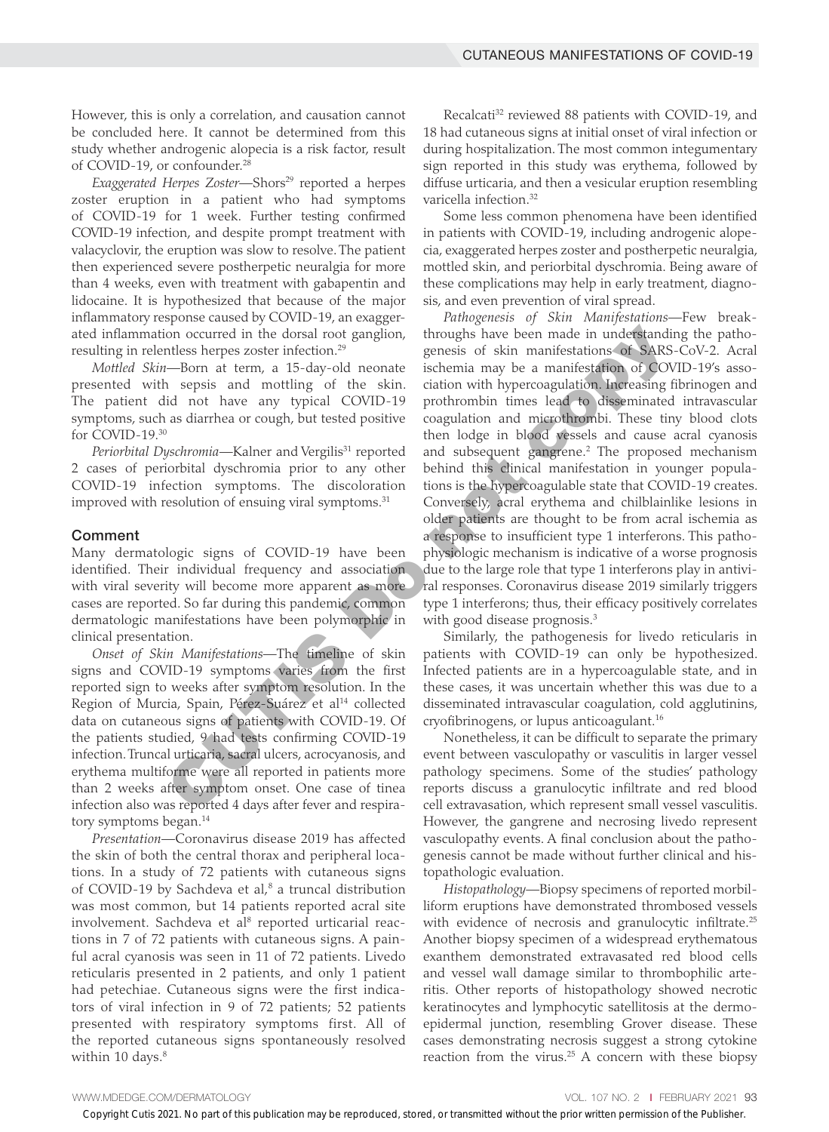However, this is only a correlation, and causation cannot be concluded here. It cannot be determined from this study whether androgenic alopecia is a risk factor, result of COVID-19, or confounder.<sup>28</sup>

*Exaggerated Herpes Zoster*—Shors<sup>29</sup> reported a herpes zoster eruption in a patient who had symptoms of COVID-19 for 1 week. Further testing confirmed COVID-19 infection, and despite prompt treatment with valacyclovir, the eruption was slow to resolve. The patient then experienced severe postherpetic neuralgia for more than 4 weeks, even with treatment with gabapentin and lidocaine. It is hypothesized that because of the major inflammatory response caused by COVID-19, an exaggerated inflammation occurred in the dorsal root ganglion, resulting in relentless herpes zoster infection.29

*Mottled Skin*—Born at term, a 15-day-old neonate presented with sepsis and mottling of the skin. The patient did not have any typical COVID-19 symptoms, such as diarrhea or cough, but tested positive for COVID-19.30

Periorbital Dyschromia—Kalner and Vergilis<sup>31</sup> reported 2 cases of periorbital dyschromia prior to any other COVID-19 infection symptoms. The discoloration improved with resolution of ensuing viral symptoms.<sup>31</sup>

#### Comment

Many dermatologic signs of COVID-19 have been identified. Their individual frequency and association with viral severity will become more apparent as more cases are reported. So far during this pandemic, common dermatologic manifestations have been polymorphic in clinical presentation.

*Onset of Skin Manifestations*—The timeline of skin signs and COVID-19 symptoms varies from the first reported sign to weeks after symptom resolution. In the Region of Murcia, Spain, Pérez-Suárez et al<sup>14</sup> collected data on cutaneous signs of patients with COVID-19. Of the patients studied, 9 had tests confirming COVID-19 infection. Truncal urticaria, sacral ulcers, acrocyanosis, and erythema multiforme were all reported in patients more than 2 weeks after symptom onset. One case of tinea infection also was reported 4 days after fever and respiratory symptoms began.<sup>14</sup>

*Presentation*—Coronavirus disease 2019 has affected the skin of both the central thorax and peripheral locations. In a study of 72 patients with cutaneous signs of COVID-19 by Sachdeva et al,<sup>8</sup> a truncal distribution was most common, but 14 patients reported acral site involvement. Sachdeva et al<sup>8</sup> reported urticarial reactions in 7 of 72 patients with cutaneous signs. A painful acral cyanosis was seen in 11 of 72 patients. Livedo reticularis presented in 2 patients, and only 1 patient had petechiae. Cutaneous signs were the first indicators of viral infection in 9 of 72 patients; 52 patients presented with respiratory symptoms first. All of the reported cutaneous signs spontaneously resolved within 10 days. $8$ 

Recalcati<sup>32</sup> reviewed 88 patients with COVID-19, and 18 had cutaneous signs at initial onset of viral infection or during hospitalization. The most common integumentary sign reported in this study was erythema, followed by diffuse urticaria, and then a vesicular eruption resembling varicella infection.<sup>32</sup>

Some less common phenomena have been identified in patients with COVID-19, including androgenic alopecia, exaggerated herpes zoster and postherpetic neuralgia, mottled skin, and periorbital dyschromia. Being aware of these complications may help in early treatment, diagnosis, and even prevention of viral spread.

*Pathogenesis of Skin Manifestations*—Few breakthroughs have been made in understanding the pathogenesis of skin manifestations of SARS-CoV-2. Acral ischemia may be a manifestation of COVID-19's association with hypercoagulation. Increasing fibrinogen and prothrombin times lead to disseminated intravascular coagulation and microthrombi. These tiny blood clots then lodge in blood vessels and cause acral cyanosis and subsequent gangrene.<sup>2</sup> The proposed mechanism behind this clinical manifestation in younger populations is the hypercoagulable state that COVID-19 creates. Conversely, acral erythema and chilblainlike lesions in older patients are thought to be from acral ischemia as a response to insufficient type 1 interferons. This pathophysiologic mechanism is indicative of a worse prognosis due to the large role that type 1 interferons play in antiviral responses. Coronavirus disease 2019 similarly triggers type 1 interferons; thus, their efficacy positively correlates with good disease prognosis.<sup>3</sup> on occurred in the dorsal root ganglion, throughs have been made in understanding<br>
influences herence zoster infection.<sup>39</sup> generals of skin manifestation of SARS model is<br>the main festation of SARS model is the skin may

Similarly, the pathogenesis for livedo reticularis in patients with COVID-19 can only be hypothesized. Infected patients are in a hypercoagulable state, and in these cases, it was uncertain whether this was due to a disseminated intravascular coagulation, cold agglutinins, cryofibrinogens, or lupus anticoagulant.16

Nonetheless, it can be difficult to separate the primary event between vasculopathy or vasculitis in larger vessel pathology specimens. Some of the studies' pathology reports discuss a granulocytic infiltrate and red blood cell extravasation, which represent small vessel vasculitis. However, the gangrene and necrosing livedo represent vasculopathy events. A final conclusion about the pathogenesis cannot be made without further clinical and histopathologic evaluation.

*Histopathology*—Biopsy specimens of reported morbilliform eruptions have demonstrated thrombosed vessels with evidence of necrosis and granulocytic infiltrate.<sup>25</sup> Another biopsy specimen of a widespread erythematous exanthem demonstrated extravasated red blood cells and vessel wall damage similar to thrombophilic arteritis. Other reports of histopathology showed necrotic keratinocytes and lymphocytic satellitosis at the dermoepidermal junction, resembling Grover disease. These cases demonstrating necrosis suggest a strong cytokine reaction from the virus. $25$  A concern with these biopsy

WWW.MDEDGE.COM/DERMATOLOGY **VOL. 107 NO. 2 | FEBRUARY 2021 93** 

Copyright Cutis 2021. No part of this publication may be reproduced, stored, or transmitted without the prior written permission of the Publisher.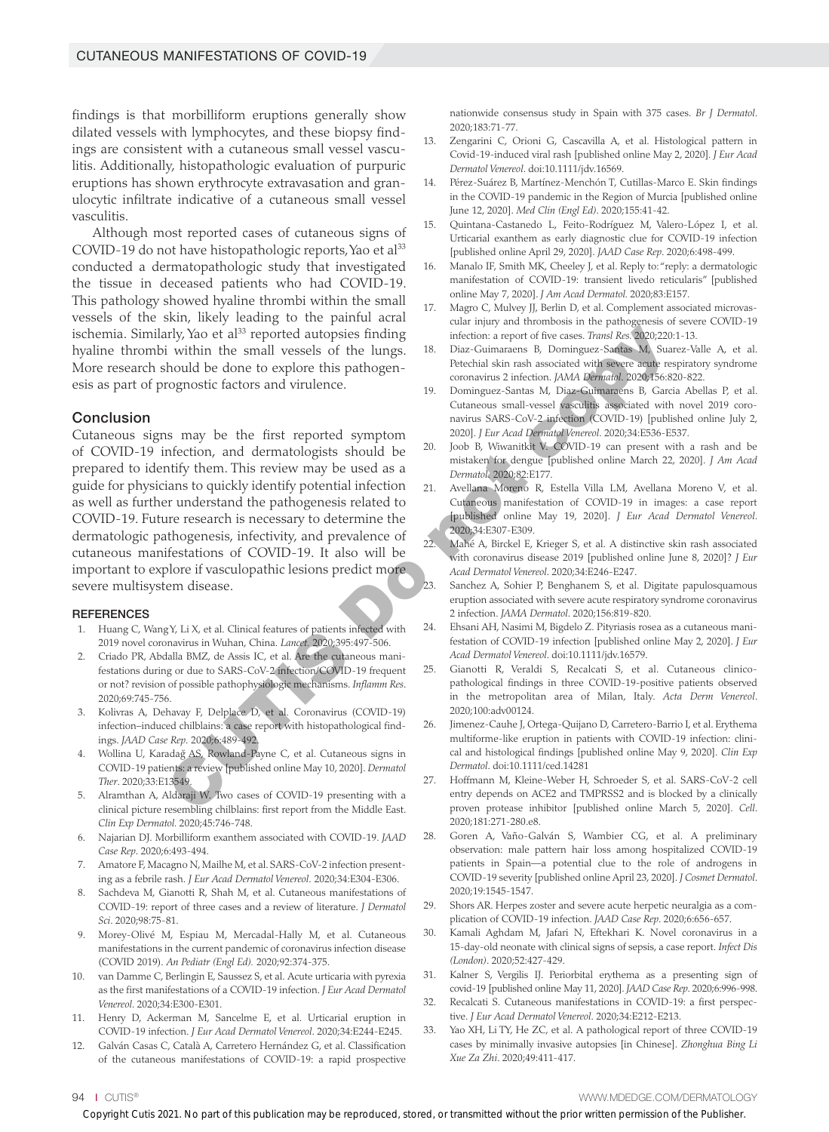findings is that morbilliform eruptions generally show dilated vessels with lymphocytes, and these biopsy findings are consistent with a cutaneous small vessel vasculitis. Additionally, histopathologic evaluation of purpuric eruptions has shown erythrocyte extravasation and granulocytic infiltrate indicative of a cutaneous small vessel vasculitis.

Although most reported cases of cutaneous signs of COVID-19 do not have histopathologic reports, Yao et al<sup>33</sup> conducted a dermatopathologic study that investigated the tissue in deceased patients who had COVID-19. This pathology showed hyaline thrombi within the small vessels of the skin, likely leading to the painful acral ischemia. Similarly, Yao et al<sup>33</sup> reported autopsies finding hyaline thrombi within the small vessels of the lungs. More research should be done to explore this pathogenesis as part of prognostic factors and virulence.

#### Conclusion

Cutaneous signs may be the first reported symptom of COVID-19 infection, and dermatologists should be prepared to identify them. This review may be used as a guide for physicians to quickly identify potential infection as well as further understand the pathogenesis related to COVID-19. Future research is necessary to determine the dermatologic pathogenesis, infectivity, and prevalence of cutaneous manifestations of COVID-19. It also will be important to explore if vasculopathic lesions predict more severe multisystem disease. Irly, Yao et al<sup>33</sup> reported autopsies finding<br>
indection: a protect dive cases. Transl Res. 2002-201<br>
in vithin the small vessel of the lungs,<br>
18. Done composite factors and virulence.<br>
Nevelation for the small vessel o

#### **REFERENCES**

- 1. Huang C, Wang Y, Li X, et al. Clinical features of patients infected with 2019 novel coronavirus in Wuhan, China. *Lancet.* 2020;395:497-506.
- 2. Criado PR, Abdalla BMZ, de Assis IC, et al. Are the cutaneous manifestations during or due to SARS-CoV-2 infection/COVID-19 frequent or not? revision of possible pathophysiologic mechanisms. *Inflamm Res*. 2020;69:745-756.
- 3. Kolivras A, Dehavay F, Delplace D, et al. Coronavirus (COVID‐19) infection–induced chilblains: a case report with histopathological findings. *JAAD Case Rep*. 2020;6:489-492.
- 4. Wollina U, Karadağ AS, Rowland-Payne C, et al. Cutaneous signs in COVID-19 patients: a review [published online May 10, 2020]. *Dermatol Ther*. 2020;33:E13549.
- Alramthan A, Aldaraji W. Two cases of COVID-19 presenting with a clinical picture resembling chilblains: first report from the Middle East. *Clin Exp Dermatol.* 2020;45:746-748.
- 6. Najarian DJ. Morbilliform exanthem associated with COVID‐19. *JAAD Case Rep*. 2020;6:493-494.
- 7. Amatore F, Macagno N, Mailhe M, et al. SARS-CoV-2 infection presenting as a febrile rash. *J Eur Acad Dermatol Venereol*. 2020;34:E304-E306.
- 8. Sachdeva M, Gianotti R, Shah M, et al. Cutaneous manifestations of COVID-19: report of three cases and a review of literature. *J Dermatol Sci*. 2020;98:75-81.
- 9. Morey-Olivé M, Espiau M, Mercadal-Hally M, et al. Cutaneous manifestations in the current pandemic of coronavirus infection disease (COVID 2019). *An Pediatr (Engl Ed).* 2020;92:374-375.
- 10. van Damme C, Berlingin E, Saussez S, et al. Acute urticaria with pyrexia as the first manifestations of a COVID‐19 infection. *J Eur Acad Dermatol Venereol*. 2020;34:E300-E301.
- 11. Henry D, Ackerman M, Sancelme E, et al. Urticarial eruption in COVID‐19 infection. *J Eur Acad Dermatol Venereol*. 2020;34:E244-E245.
- 12. Galván Casas C, Català A, Carretero Hernández G, et al. Classification of the cutaneous manifestations of COVID-19: a rapid prospective

nationwide consensus study in Spain with 375 cases. *Br J Dermatol*. 2020;183:71-77.

- 13. Zengarini C, Orioni G, Cascavilla A, et al. Histological pattern in Covid-19-induced viral rash [published online May 2, 2020]*. J Eur Acad Dermatol Venereol*. doi:10.1111/jdv.16569.
- 14. Pérez-Suárez B, Martínez-Menchón T, Cutillas-Marco E. Skin findings in the COVID-19 pandemic in the Region of Murcia [published online June 12, 2020]. *Med Clin (Engl Ed)*. 2020;155:41-42.
- 15. Quintana-Castanedo L, Feito-Rodríguez M, Valero-López I, et al. Urticarial exanthem as early diagnostic clue for COVID-19 infection [published online April 29, 2020]. *JAAD Case Rep*. 2020;6:498-499.
- 16. Manalo IF, Smith MK, Cheeley J, et al. Reply to: "reply: a dermatologic manifestation of COVID-19: transient livedo reticularis" [published online May 7, 2020]. *J Am Acad Dermatol.* 2020;83:E157.
- 17. Magro C, Mulvey JJ, Berlin D, et al. Complement associated microvascular injury and thrombosis in the pathogenesis of severe COVID-19 infection: a report of five cases. *Transl Res.* 2020;220:1-13.
- 18. Diaz-Guimaraens B, Dominguez-Santas M, Suarez-Valle A, et al. Petechial skin rash associated with severe acute respiratory syndrome coronavirus 2 infection. *JAMA Dermatol*. 2020;156:820-822.
- 19. Dominguez-Santas M, Diaz-Guimaraens B, Garcia Abellas P, et al. Cutaneous small-vessel vasculitis associated with novel 2019 coronavirus SARS-CoV-2 infection (COVID-19) [published online July 2, 2020]. *J Eur Acad Dermatol Venereol*. 2020;34:E536-E537.
- 20. Joob B, Wiwanitkit V. COVID-19 can present with a rash and be mistaken for dengue [published online March 22, 2020]. *J Am Acad Dermatol*. 2020;82:E177.
- 21. Avellana Moreno R, Estella Villa LM, Avellana Moreno V, et al. Cutaneous manifestation of COVID‐19 in images: a case report [published online May 19, 2020]. *J Eur Acad Dermatol Venereol*. 2020;34:E307-E309.
- 22. Mahé A, Birckel E, Krieger S, et al. A distinctive skin rash associated with coronavirus disease 2019 [published online June 8, 2020]? *J Eur Acad Dermatol Venereol*. 2020;34:E246-E247.
- 23. Sanchez A, Sohier P, Benghanem S, et al. Digitate papulosquamous eruption associated with severe acute respiratory syndrome coronavirus 2 infection. *JAMA Dermatol*. 2020;156:819-820.
- 24. Ehsani AH, Nasimi M, Bigdelo Z. Pityriasis rosea as a cutaneous manifestation of COVID‐19 infection [published online May 2, 2020]. *J Eur Acad Dermatol Venereol*. doi:10.1111/jdv.16579.
- 25. Gianotti R, Veraldi S, Recalcati S, et al. Cutaneous clinicopathological findings in three COVID-19-positive patients observed in the metropolitan area of Milan, Italy. *Acta Derm Venereol*. 2020;100:adv00124.
- 26. Jimenez-Cauhe J, Ortega-Quijano D, Carretero-Barrio I, et al. Erythema multiforme-like eruption in patients with COVID-19 infection: clinical and histological findings [published online May 9, 2020]. *Clin Exp Dermatol*. doi:10.1111/ced.14281
- 27. Hoffmann M, Kleine‐Weber H, Schroeder S, et al. SARS‐CoV‐2 cell entry depends on ACE2 and TMPRSS2 and is blocked by a clinically proven protease inhibitor [published online March 5, 2020]. *Cell*. 2020;181:271‐280.e8.
- 28. Goren A, Vaño‐Galván S, Wambier CG, et al. A preliminary observation: male pattern hair loss among hospitalized COVID‐19 patients in Spain—a potential clue to the role of androgens in COVID‐19 severity [published online April 23, 2020]. *J Cosmet Dermatol*. 2020;19:1545-1547.
- 29. Shors AR. Herpes zoster and severe acute herpetic neuralgia as a complication of COVID-19 infection. *JAAD Case Rep*. 2020;6:656-657.
- 30. Kamali Aghdam M, Jafari N, Eftekhari K. Novel coronavirus in a 15‐day‐old neonate with clinical signs of sepsis, a case report. *Infect Dis (London)*. 2020;52:427‐429.
- 31. Kalner S, Vergilis IJ. Periorbital erythema as a presenting sign of covid-19 [published online May 11, 2020]. *JAAD Case Rep*. 2020;6:996-998.
- 32. Recalcati S. Cutaneous manifestations in COVID‐19: a first perspective. *J Eur Acad Dermatol Venereol*. 2020;34:E212-E213.
- Yao XH, Li TY, He ZC, et al. A pathological report of three COVID-19 cases by minimally invasive autopsies [in Chinese]. *Zhonghua Bing Li Xue Za Zhi*. 2020;49:411-417.